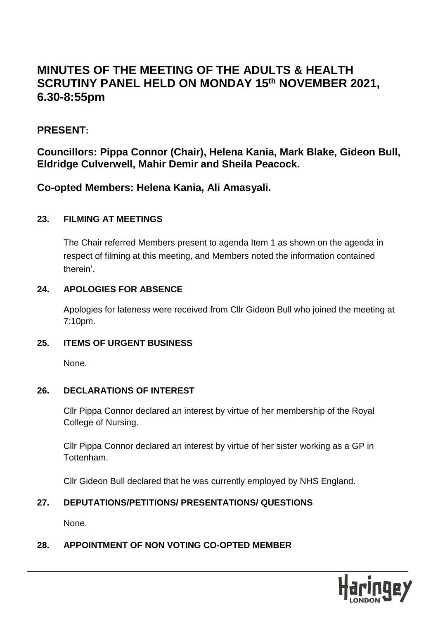# **MINUTES OF THE MEETING OF THE ADULTS & HEALTH SCRUTINY PANEL HELD ON MONDAY 15th NOVEMBER 2021, 6.30-8:55pm**

## **PRESENT:**

**Councillors: Pippa Connor (Chair), Helena Kania, Mark Blake, Gideon Bull, Eldridge Culverwell, Mahir Demir and Sheila Peacock.**

**Co-opted Members: Helena Kania, Ali Amasyali.**

#### **23. FILMING AT MEETINGS**

The Chair referred Members present to agenda Item 1 as shown on the agenda in respect of filming at this meeting, and Members noted the information contained therein'.

#### **24. APOLOGIES FOR ABSENCE**

Apologies for lateness were received from Cllr Gideon Bull who joined the meeting at 7:10pm.

#### **25. ITEMS OF URGENT BUSINESS**

None.

#### **26. DECLARATIONS OF INTEREST**

Cllr Pippa Connor declared an interest by virtue of her membership of the Royal College of Nursing.

Cllr Pippa Connor declared an interest by virtue of her sister working as a GP in Tottenham.

Cllr Gideon Bull declared that he was currently employed by NHS England.

#### **27. DEPUTATIONS/PETITIONS/ PRESENTATIONS/ QUESTIONS**

None.

#### **28. APPOINTMENT OF NON VOTING CO-OPTED MEMBER**

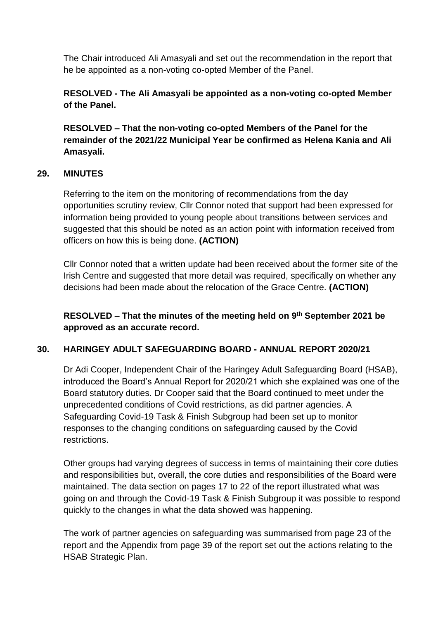The Chair introduced Ali Amasyali and set out the recommendation in the report that he be appointed as a non-voting co-opted Member of the Panel.

**RESOLVED - The Ali Amasyali be appointed as a non-voting co-opted Member of the Panel.**

**RESOLVED – That the non-voting co-opted Members of the Panel for the remainder of the 2021/22 Municipal Year be confirmed as Helena Kania and Ali Amasyali.**

#### **29. MINUTES**

Referring to the item on the monitoring of recommendations from the day opportunities scrutiny review, Cllr Connor noted that support had been expressed for information being provided to young people about transitions between services and suggested that this should be noted as an action point with information received from officers on how this is being done. **(ACTION)**

Cllr Connor noted that a written update had been received about the former site of the Irish Centre and suggested that more detail was required, specifically on whether any decisions had been made about the relocation of the Grace Centre. **(ACTION)**

**RESOLVED – That the minutes of the meeting held on 9th September 2021 be approved as an accurate record.** 

#### **30. HARINGEY ADULT SAFEGUARDING BOARD - ANNUAL REPORT 2020/21**

Dr Adi Cooper, Independent Chair of the Haringey Adult Safeguarding Board (HSAB), introduced the Board's Annual Report for 2020/21 which she explained was one of the Board statutory duties. Dr Cooper said that the Board continued to meet under the unprecedented conditions of Covid restrictions, as did partner agencies. A Safeguarding Covid-19 Task & Finish Subgroup had been set up to monitor responses to the changing conditions on safeguarding caused by the Covid restrictions.

Other groups had varying degrees of success in terms of maintaining their core duties and responsibilities but, overall, the core duties and responsibilities of the Board were maintained. The data section on pages 17 to 22 of the report illustrated what was going on and through the Covid-19 Task & Finish Subgroup it was possible to respond quickly to the changes in what the data showed was happening.

The work of partner agencies on safeguarding was summarised from page 23 of the report and the Appendix from page 39 of the report set out the actions relating to the HSAB Strategic Plan.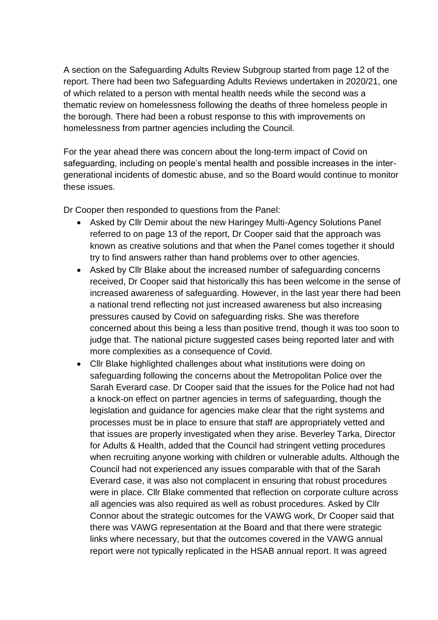A section on the Safeguarding Adults Review Subgroup started from page 12 of the report. There had been two Safeguarding Adults Reviews undertaken in 2020/21, one of which related to a person with mental health needs while the second was a thematic review on homelessness following the deaths of three homeless people in the borough. There had been a robust response to this with improvements on homelessness from partner agencies including the Council.

For the year ahead there was concern about the long-term impact of Covid on safeguarding, including on people's mental health and possible increases in the intergenerational incidents of domestic abuse, and so the Board would continue to monitor these issues.

Dr Cooper then responded to questions from the Panel:

- Asked by Cllr Demir about the new Haringey Multi-Agency Solutions Panel referred to on page 13 of the report, Dr Cooper said that the approach was known as creative solutions and that when the Panel comes together it should try to find answers rather than hand problems over to other agencies.
- Asked by Cllr Blake about the increased number of safeguarding concerns received, Dr Cooper said that historically this has been welcome in the sense of increased awareness of safeguarding. However, in the last year there had been a national trend reflecting not just increased awareness but also increasing pressures caused by Covid on safeguarding risks. She was therefore concerned about this being a less than positive trend, though it was too soon to judge that. The national picture suggested cases being reported later and with more complexities as a consequence of Covid.
- Cllr Blake highlighted challenges about what institutions were doing on safeguarding following the concerns about the Metropolitan Police over the Sarah Everard case. Dr Cooper said that the issues for the Police had not had a knock-on effect on partner agencies in terms of safeguarding, though the legislation and guidance for agencies make clear that the right systems and processes must be in place to ensure that staff are appropriately vetted and that issues are properly investigated when they arise. Beverley Tarka, Director for Adults & Health, added that the Council had stringent vetting procedures when recruiting anyone working with children or vulnerable adults. Although the Council had not experienced any issues comparable with that of the Sarah Everard case, it was also not complacent in ensuring that robust procedures were in place. Cllr Blake commented that reflection on corporate culture across all agencies was also required as well as robust procedures. Asked by Cllr Connor about the strategic outcomes for the VAWG work, Dr Cooper said that there was VAWG representation at the Board and that there were strategic links where necessary, but that the outcomes covered in the VAWG annual report were not typically replicated in the HSAB annual report. It was agreed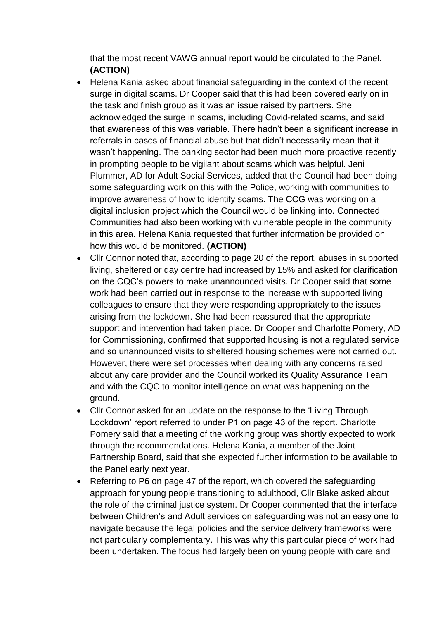that the most recent VAWG annual report would be circulated to the Panel. **(ACTION)**

- Helena Kania asked about financial safeguarding in the context of the recent surge in digital scams. Dr Cooper said that this had been covered early on in the task and finish group as it was an issue raised by partners. She acknowledged the surge in scams, including Covid-related scams, and said that awareness of this was variable. There hadn't been a significant increase in referrals in cases of financial abuse but that didn't necessarily mean that it wasn't happening. The banking sector had been much more proactive recently in prompting people to be vigilant about scams which was helpful. Jeni Plummer, AD for Adult Social Services, added that the Council had been doing some safeguarding work on this with the Police, working with communities to improve awareness of how to identify scams. The CCG was working on a digital inclusion project which the Council would be linking into. Connected Communities had also been working with vulnerable people in the community in this area. Helena Kania requested that further information be provided on how this would be monitored. **(ACTION)**
- Cllr Connor noted that, according to page 20 of the report, abuses in supported living, sheltered or day centre had increased by 15% and asked for clarification on the CQC's powers to make unannounced visits. Dr Cooper said that some work had been carried out in response to the increase with supported living colleagues to ensure that they were responding appropriately to the issues arising from the lockdown. She had been reassured that the appropriate support and intervention had taken place. Dr Cooper and Charlotte Pomery, AD for Commissioning, confirmed that supported housing is not a regulated service and so unannounced visits to sheltered housing schemes were not carried out. However, there were set processes when dealing with any concerns raised about any care provider and the Council worked its Quality Assurance Team and with the CQC to monitor intelligence on what was happening on the ground.
- Cllr Connor asked for an update on the response to the 'Living Through Lockdown' report referred to under P1 on page 43 of the report. Charlotte Pomery said that a meeting of the working group was shortly expected to work through the recommendations. Helena Kania, a member of the Joint Partnership Board, said that she expected further information to be available to the Panel early next year.
- Referring to P6 on page 47 of the report, which covered the safeguarding approach for young people transitioning to adulthood, Cllr Blake asked about the role of the criminal justice system. Dr Cooper commented that the interface between Children's and Adult services on safeguarding was not an easy one to navigate because the legal policies and the service delivery frameworks were not particularly complementary. This was why this particular piece of work had been undertaken. The focus had largely been on young people with care and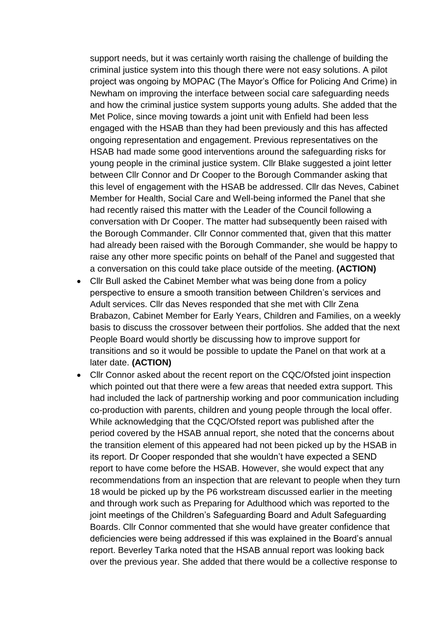support needs, but it was certainly worth raising the challenge of building the criminal justice system into this though there were not easy solutions. A pilot project was ongoing by MOPAC (The Mayor's Office for Policing And Crime) in Newham on improving the interface between social care safeguarding needs and how the criminal justice system supports young adults. She added that the Met Police, since moving towards a joint unit with Enfield had been less engaged with the HSAB than they had been previously and this has affected ongoing representation and engagement. Previous representatives on the HSAB had made some good interventions around the safeguarding risks for young people in the criminal justice system. Cllr Blake suggested a joint letter between Cllr Connor and Dr Cooper to the Borough Commander asking that this level of engagement with the HSAB be addressed. Cllr das Neves, Cabinet Member for Health, Social Care and Well-being informed the Panel that she had recently raised this matter with the Leader of the Council following a conversation with Dr Cooper. The matter had subsequently been raised with the Borough Commander. Cllr Connor commented that, given that this matter had already been raised with the Borough Commander, she would be happy to raise any other more specific points on behalf of the Panel and suggested that a conversation on this could take place outside of the meeting. **(ACTION)**

- Cllr Bull asked the Cabinet Member what was being done from a policy perspective to ensure a smooth transition between Children's services and Adult services. Cllr das Neves responded that she met with Cllr Zena Brabazon, Cabinet Member for Early Years, Children and Families, on a weekly basis to discuss the crossover between their portfolios. She added that the next People Board would shortly be discussing how to improve support for transitions and so it would be possible to update the Panel on that work at a later date. **(ACTION)**
- Cllr Connor asked about the recent report on the CQC/Ofsted joint inspection which pointed out that there were a few areas that needed extra support. This had included the lack of partnership working and poor communication including co-production with parents, children and young people through the local offer. While acknowledging that the CQC/Ofsted report was published after the period covered by the HSAB annual report, she noted that the concerns about the transition element of this appeared had not been picked up by the HSAB in its report. Dr Cooper responded that she wouldn't have expected a SEND report to have come before the HSAB. However, she would expect that any recommendations from an inspection that are relevant to people when they turn 18 would be picked up by the P6 workstream discussed earlier in the meeting and through work such as Preparing for Adulthood which was reported to the joint meetings of the Children's Safeguarding Board and Adult Safeguarding Boards. Cllr Connor commented that she would have greater confidence that deficiencies were being addressed if this was explained in the Board's annual report. Beverley Tarka noted that the HSAB annual report was looking back over the previous year. She added that there would be a collective response to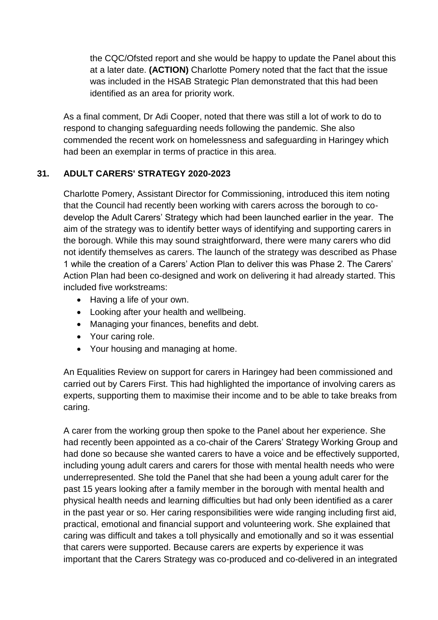the CQC/Ofsted report and she would be happy to update the Panel about this at a later date. **(ACTION)** Charlotte Pomery noted that the fact that the issue was included in the HSAB Strategic Plan demonstrated that this had been identified as an area for priority work.

As a final comment, Dr Adi Cooper, noted that there was still a lot of work to do to respond to changing safeguarding needs following the pandemic. She also commended the recent work on homelessness and safeguarding in Haringey which had been an exemplar in terms of practice in this area.

## **31. ADULT CARERS' STRATEGY 2020-2023**

Charlotte Pomery, Assistant Director for Commissioning, introduced this item noting that the Council had recently been working with carers across the borough to codevelop the Adult Carers' Strategy which had been launched earlier in the year. The aim of the strategy was to identify better ways of identifying and supporting carers in the borough. While this may sound straightforward, there were many carers who did not identify themselves as carers. The launch of the strategy was described as Phase 1 while the creation of a Carers' Action Plan to deliver this was Phase 2. The Carers' Action Plan had been co-designed and work on delivering it had already started. This included five workstreams:

- Having a life of your own.
- Looking after your health and wellbeing.
- Managing your finances, benefits and debt.
- Your caring role.
- Your housing and managing at home.

An Equalities Review on support for carers in Haringey had been commissioned and carried out by Carers First. This had highlighted the importance of involving carers as experts, supporting them to maximise their income and to be able to take breaks from caring.

A carer from the working group then spoke to the Panel about her experience. She had recently been appointed as a co-chair of the Carers' Strategy Working Group and had done so because she wanted carers to have a voice and be effectively supported, including young adult carers and carers for those with mental health needs who were underrepresented. She told the Panel that she had been a young adult carer for the past 15 years looking after a family member in the borough with mental health and physical health needs and learning difficulties but had only been identified as a carer in the past year or so. Her caring responsibilities were wide ranging including first aid, practical, emotional and financial support and volunteering work. She explained that caring was difficult and takes a toll physically and emotionally and so it was essential that carers were supported. Because carers are experts by experience it was important that the Carers Strategy was co-produced and co-delivered in an integrated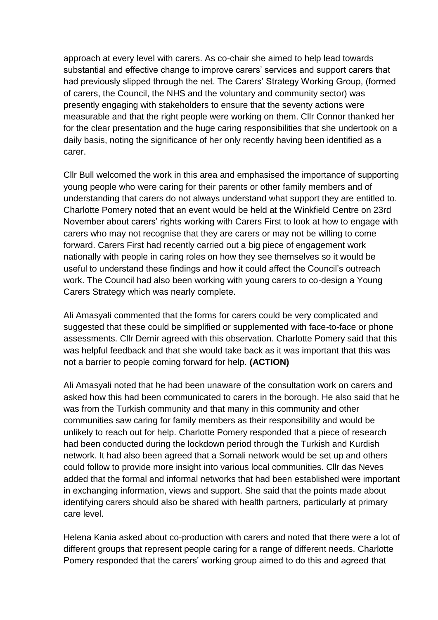approach at every level with carers. As co-chair she aimed to help lead towards substantial and effective change to improve carers' services and support carers that had previously slipped through the net. The Carers' Strategy Working Group, (formed of carers, the Council, the NHS and the voluntary and community sector) was presently engaging with stakeholders to ensure that the seventy actions were measurable and that the right people were working on them. Cllr Connor thanked her for the clear presentation and the huge caring responsibilities that she undertook on a daily basis, noting the significance of her only recently having been identified as a carer.

Cllr Bull welcomed the work in this area and emphasised the importance of supporting young people who were caring for their parents or other family members and of understanding that carers do not always understand what support they are entitled to. Charlotte Pomery noted that an event would be held at the Winkfield Centre on 23rd November about carers' rights working with Carers First to look at how to engage with carers who may not recognise that they are carers or may not be willing to come forward. Carers First had recently carried out a big piece of engagement work nationally with people in caring roles on how they see themselves so it would be useful to understand these findings and how it could affect the Council's outreach work. The Council had also been working with young carers to co-design a Young Carers Strategy which was nearly complete.

Ali Amasyali commented that the forms for carers could be very complicated and suggested that these could be simplified or supplemented with face-to-face or phone assessments. Cllr Demir agreed with this observation. Charlotte Pomery said that this was helpful feedback and that she would take back as it was important that this was not a barrier to people coming forward for help. **(ACTION)**

Ali Amasyali noted that he had been unaware of the consultation work on carers and asked how this had been communicated to carers in the borough. He also said that he was from the Turkish community and that many in this community and other communities saw caring for family members as their responsibility and would be unlikely to reach out for help. Charlotte Pomery responded that a piece of research had been conducted during the lockdown period through the Turkish and Kurdish network. It had also been agreed that a Somali network would be set up and others could follow to provide more insight into various local communities. Cllr das Neves added that the formal and informal networks that had been established were important in exchanging information, views and support. She said that the points made about identifying carers should also be shared with health partners, particularly at primary care level.

Helena Kania asked about co-production with carers and noted that there were a lot of different groups that represent people caring for a range of different needs. Charlotte Pomery responded that the carers' working group aimed to do this and agreed that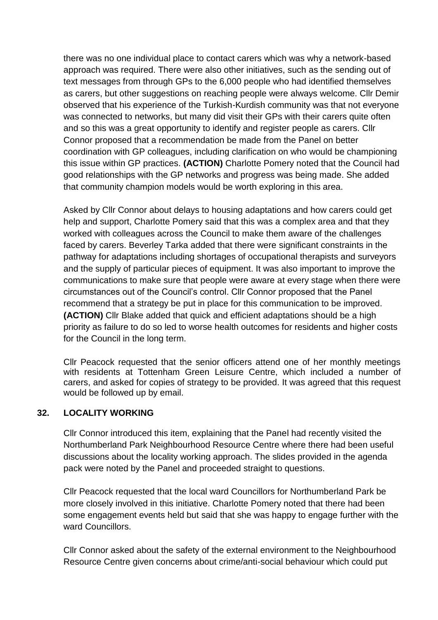there was no one individual place to contact carers which was why a network-based approach was required. There were also other initiatives, such as the sending out of text messages from through GPs to the 6,000 people who had identified themselves as carers, but other suggestions on reaching people were always welcome. Cllr Demir observed that his experience of the Turkish-Kurdish community was that not everyone was connected to networks, but many did visit their GPs with their carers quite often and so this was a great opportunity to identify and register people as carers. Cllr Connor proposed that a recommendation be made from the Panel on better coordination with GP colleagues, including clarification on who would be championing this issue within GP practices. **(ACTION)** Charlotte Pomery noted that the Council had good relationships with the GP networks and progress was being made. She added that community champion models would be worth exploring in this area.

Asked by Cllr Connor about delays to housing adaptations and how carers could get help and support, Charlotte Pomery said that this was a complex area and that they worked with colleagues across the Council to make them aware of the challenges faced by carers. Beverley Tarka added that there were significant constraints in the pathway for adaptations including shortages of occupational therapists and surveyors and the supply of particular pieces of equipment. It was also important to improve the communications to make sure that people were aware at every stage when there were circumstances out of the Council's control. Cllr Connor proposed that the Panel recommend that a strategy be put in place for this communication to be improved. **(ACTION)** Cllr Blake added that quick and efficient adaptations should be a high priority as failure to do so led to worse health outcomes for residents and higher costs for the Council in the long term.

Cllr Peacock requested that the senior officers attend one of her monthly meetings with residents at Tottenham Green Leisure Centre, which included a number of carers, and asked for copies of strategy to be provided. It was agreed that this request would be followed up by email.

#### **32. LOCALITY WORKING**

Cllr Connor introduced this item, explaining that the Panel had recently visited the Northumberland Park Neighbourhood Resource Centre where there had been useful discussions about the locality working approach. The slides provided in the agenda pack were noted by the Panel and proceeded straight to questions.

Cllr Peacock requested that the local ward Councillors for Northumberland Park be more closely involved in this initiative. Charlotte Pomery noted that there had been some engagement events held but said that she was happy to engage further with the ward Councillors.

Cllr Connor asked about the safety of the external environment to the Neighbourhood Resource Centre given concerns about crime/anti-social behaviour which could put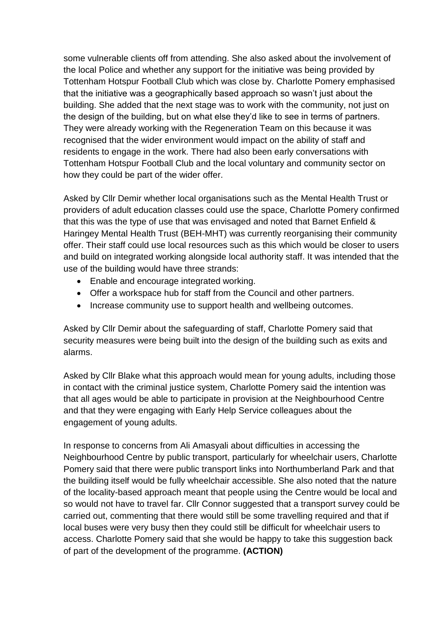some vulnerable clients off from attending. She also asked about the involvement of the local Police and whether any support for the initiative was being provided by Tottenham Hotspur Football Club which was close by. Charlotte Pomery emphasised that the initiative was a geographically based approach so wasn't just about the building. She added that the next stage was to work with the community, not just on the design of the building, but on what else they'd like to see in terms of partners. They were already working with the Regeneration Team on this because it was recognised that the wider environment would impact on the ability of staff and residents to engage in the work. There had also been early conversations with Tottenham Hotspur Football Club and the local voluntary and community sector on how they could be part of the wider offer.

Asked by Cllr Demir whether local organisations such as the Mental Health Trust or providers of adult education classes could use the space, Charlotte Pomery confirmed that this was the type of use that was envisaged and noted that Barnet Enfield & Haringey Mental Health Trust (BEH-MHT) was currently reorganising their community offer. Their staff could use local resources such as this which would be closer to users and build on integrated working alongside local authority staff. It was intended that the use of the building would have three strands:

- Enable and encourage integrated working.
- Offer a workspace hub for staff from the Council and other partners.
- Increase community use to support health and wellbeing outcomes.

Asked by Cllr Demir about the safeguarding of staff, Charlotte Pomery said that security measures were being built into the design of the building such as exits and alarms.

Asked by Cllr Blake what this approach would mean for young adults, including those in contact with the criminal justice system, Charlotte Pomery said the intention was that all ages would be able to participate in provision at the Neighbourhood Centre and that they were engaging with Early Help Service colleagues about the engagement of young adults.

In response to concerns from Ali Amasyali about difficulties in accessing the Neighbourhood Centre by public transport, particularly for wheelchair users, Charlotte Pomery said that there were public transport links into Northumberland Park and that the building itself would be fully wheelchair accessible. She also noted that the nature of the locality-based approach meant that people using the Centre would be local and so would not have to travel far. Cllr Connor suggested that a transport survey could be carried out, commenting that there would still be some travelling required and that if local buses were very busy then they could still be difficult for wheelchair users to access. Charlotte Pomery said that she would be happy to take this suggestion back of part of the development of the programme. **(ACTION)**